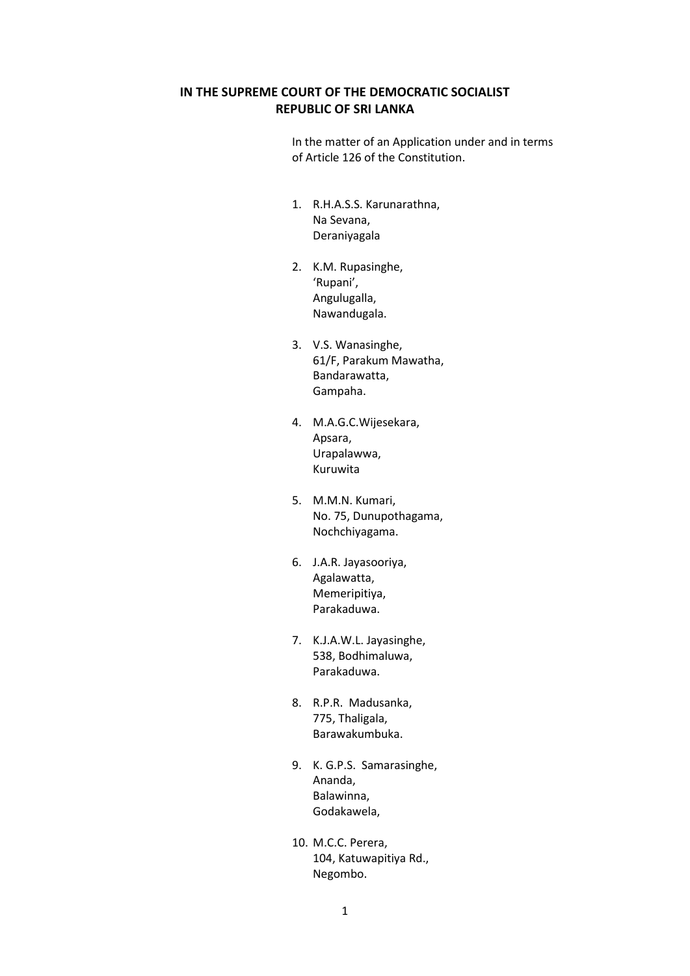### **IN THE SUPREME COURT OF THE DEMOCRATIC SOCIALIST REPUBLIC OF SRI LANKA**

In the matter of an Application under and in terms of Article 126 of the Constitution.

- 1. R.H.A.S.S. Karunarathna, Na Sevana, Deraniyagala
- 2. K.M. Rupasinghe, 'Rupani', Angulugalla, Nawandugala.
- 3. V.S. Wanasinghe, 61/F, Parakum Mawatha, Bandarawatta, Gampaha.
- 4. M.A.G.C.Wijesekara, Apsara, Urapalawwa, Kuruwita
- 5. M.M.N. Kumari, No. 75, Dunupothagama, Nochchiyagama.
- 6. J.A.R. Jayasooriya, Agalawatta, Memeripitiya, Parakaduwa.
- 7. K.J.A.W.L. Jayasinghe, 538, Bodhimaluwa, Parakaduwa.
- 8. R.P.R. Madusanka, 775, Thaligala, Barawakumbuka.
- 9. K. G.P.S. Samarasinghe, Ananda, Balawinna, Godakawela,
- 10. M.C.C. Perera, 104, Katuwapitiya Rd., Negombo.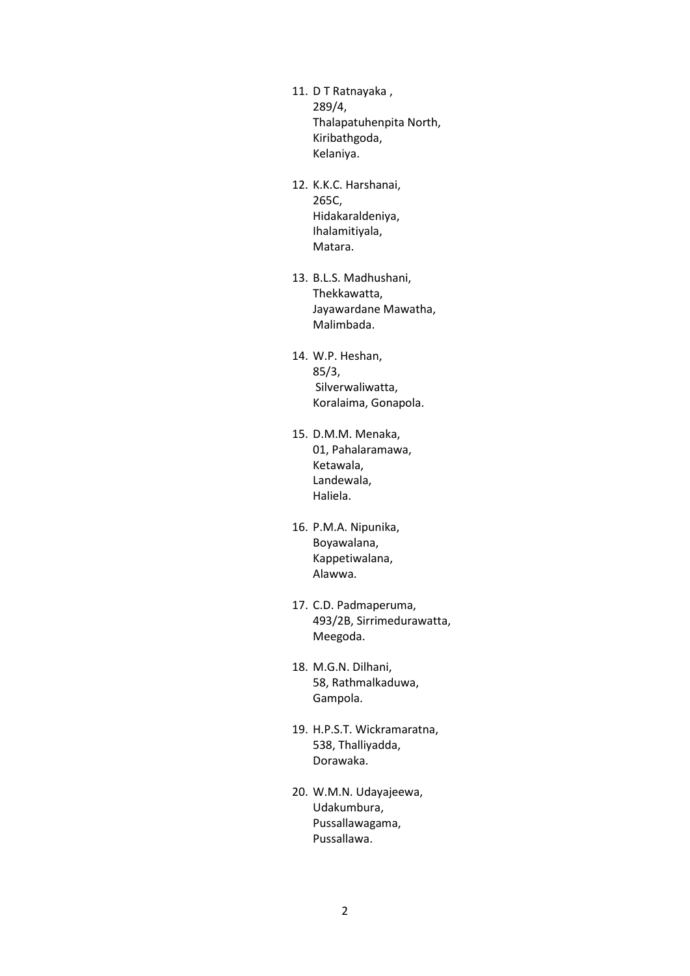- 11. D T Ratnayaka , 289/4, Thalapatuhenpita North, Kiribathgoda, Kelaniya.
- 12. K.K.C. Harshanai, 265C, Hidakaraldeniya, Ihalamitiyala, Matara.
- 13. B.L.S. Madhushani, Thekkawatta, Jayawardane Mawatha, Malimbada.
- 14. W.P. Heshan, 85/3, Silverwaliwatta, Koralaima, Gonapola.
- 15. D.M.M. Menaka, 01, Pahalaramawa, Ketawala, Landewala, Haliela.
- 16. P.M.A. Nipunika, Boyawalana, Kappetiwalana, Alawwa.
- 17. C.D. Padmaperuma, 493/2B, Sirrimedurawatta, Meegoda.
- 18. M.G.N. Dilhani, 58, Rathmalkaduwa, Gampola.
- 19. H.P.S.T. Wickramaratna, 538, Thalliyadda, Dorawaka.
- 20. W.M.N. Udayajeewa, Udakumbura, Pussallawagama, Pussallawa.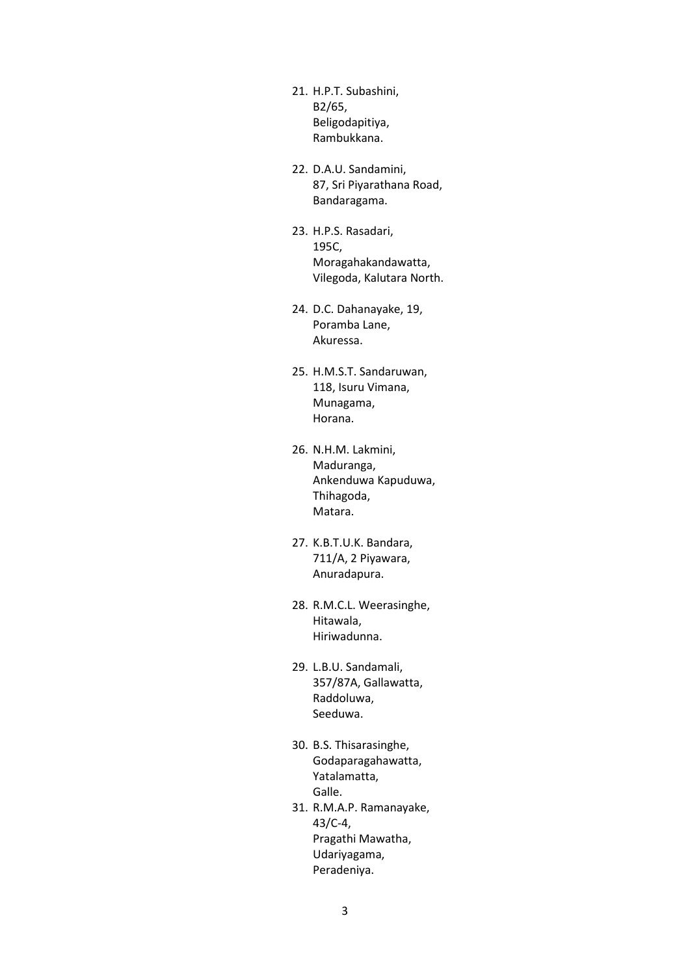- 21. H.P.T. Subashini, B2/65, Beligodapitiya, Rambukkana.
- 22. D.A.U. Sandamini, 87, Sri Piyarathana Road, Bandaragama.
- 23. H.P.S. Rasadari, 195C, Moragahakandawatta, Vilegoda, Kalutara North.
- 24. D.C. Dahanayake, 19, Poramba Lane, Akuressa.
- 25. H.M.S.T. Sandaruwan, 118, Isuru Vimana, Munagama, Horana.
- 26. N.H.M. Lakmini, Maduranga, Ankenduwa Kapuduwa, Thihagoda, Matara.
- 27. K.B.T.U.K. Bandara, 711/A, 2 Piyawara, Anuradapura.
- 28. R.M.C.L. Weerasinghe, Hitawala, Hiriwadunna.
- 29. L.B.U. Sandamali, 357/87A, Gallawatta, Raddoluwa, Seeduwa.
- 30. B.S. Thisarasinghe, Godaparagahawatta, Yatalamatta, Galle.
- 31. R.M.A.P. Ramanayake, 43/C-4, Pragathi Mawatha, Udariyagama, Peradeniya.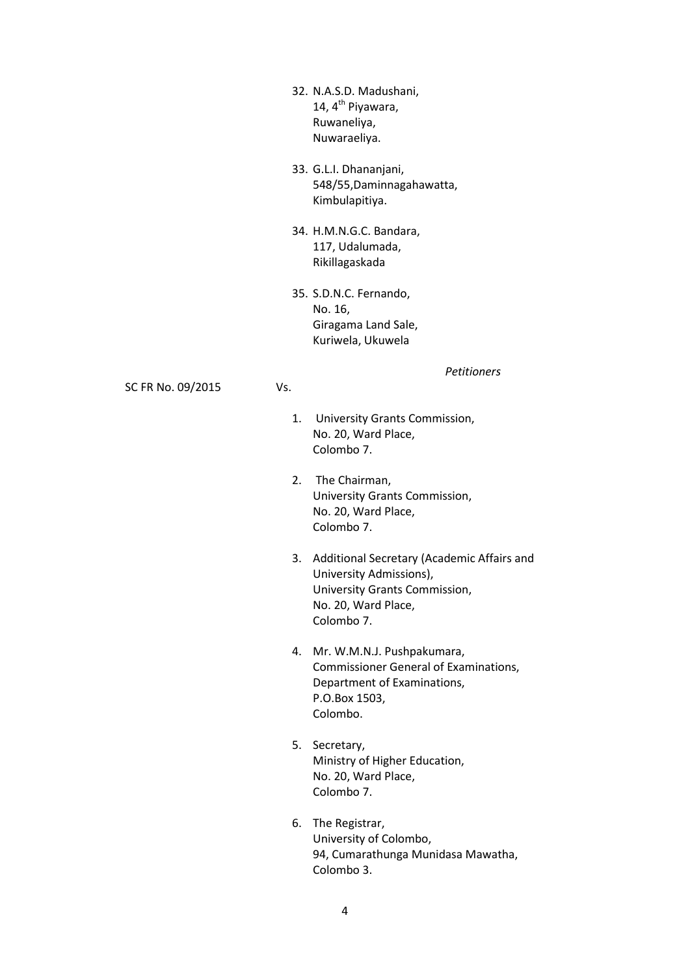- 32. N.A.S.D. Madushani, 14, 4<sup>th</sup> Piyawara, Ruwaneliya, Nuwaraeliya.
- 33. G.L.I. Dhananjani, 548/55,Daminnagahawatta, Kimbulapitiya.
- 34. H.M.N.G.C. Bandara, 117, Udalumada, Rikillagaskada
- 35. S.D.N.C. Fernando, No. 16, Giragama Land Sale, Kuriwela, Ukuwela

*Petitioners*

SC FR No. 09/2015 Vs.

- - 1. University Grants Commission, No. 20, Ward Place, Colombo 7.
	- 2. The Chairman, University Grants Commission, No. 20, Ward Place, Colombo 7.
	- 3. Additional Secretary (Academic Affairs and University Admissions), University Grants Commission, No. 20, Ward Place, Colombo 7.
	- 4. Mr. W.M.N.J. Pushpakumara, Commissioner General of Examinations, Department of Examinations, P.O.Box 1503, Colombo.
	- 5. Secretary, Ministry of Higher Education, No. 20, Ward Place, Colombo 7.
	- 6. The Registrar, University of Colombo, 94, Cumarathunga Munidasa Mawatha, Colombo 3.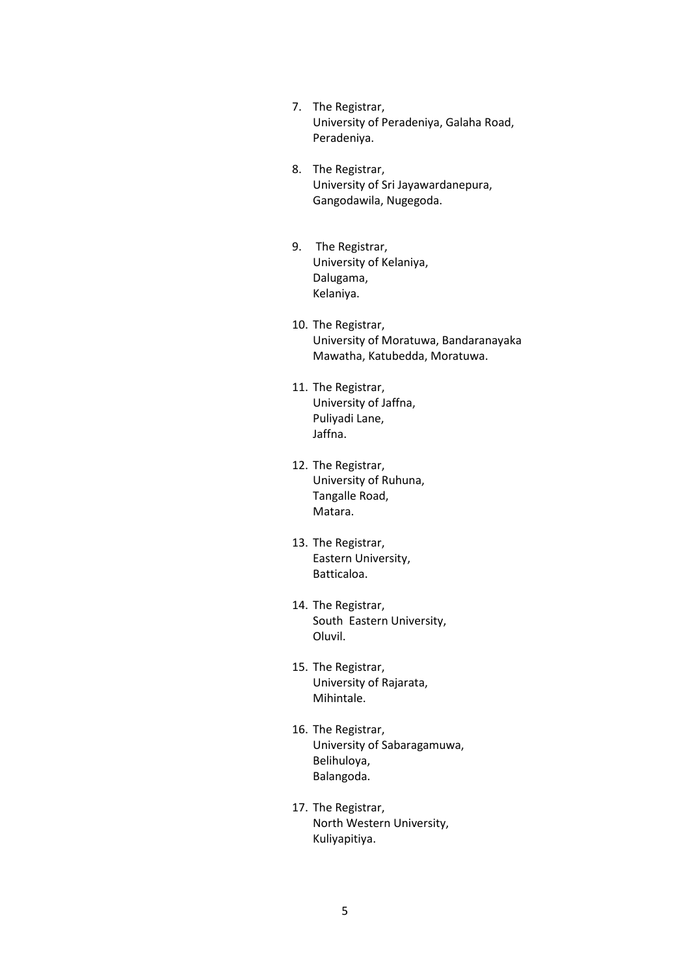- 7. The Registrar, University of Peradeniya, Galaha Road, Peradeniya.
- 8. The Registrar, University of Sri Jayawardanepura, Gangodawila, Nugegoda.
- 9. The Registrar, University of Kelaniya, Dalugama, Kelaniya.
- 10. The Registrar, University of Moratuwa, Bandaranayaka Mawatha, Katubedda, Moratuwa.
- 11. The Registrar, University of Jaffna, Puliyadi Lane, Jaffna.
- 12. The Registrar, University of Ruhuna, Tangalle Road, Matara.
- 13. The Registrar, Eastern University, Batticaloa.
- 14. The Registrar, South Eastern University, Oluvil.
- 15. The Registrar, University of Rajarata, Mihintale.
- 16. The Registrar, University of Sabaragamuwa, Belihuloya, Balangoda.
- 17. The Registrar, North Western University, Kuliyapitiya.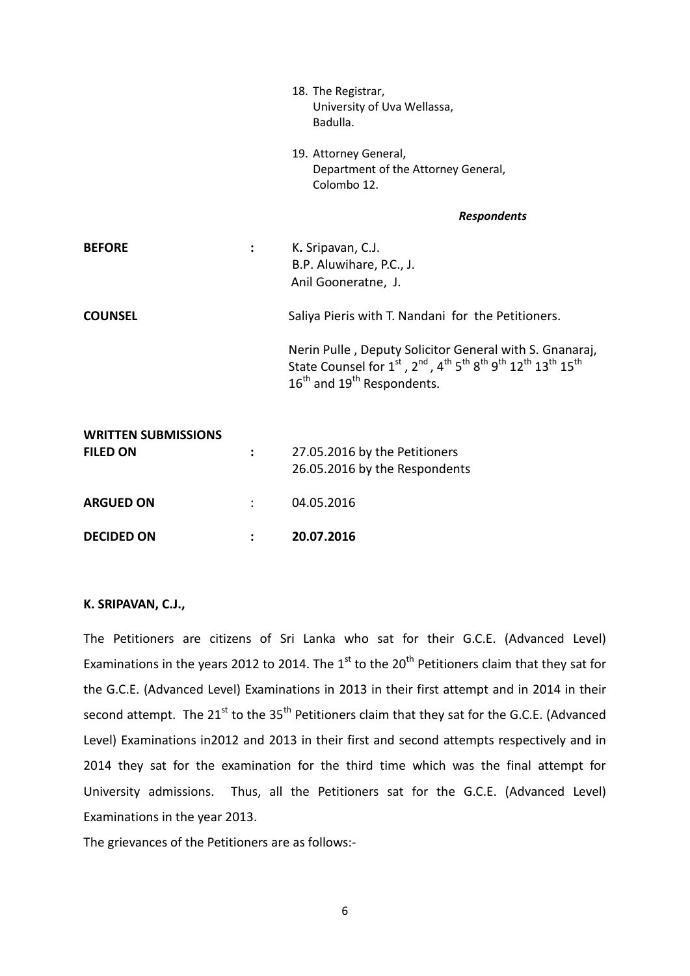|                            |                | 18. The Registrar,<br>University of Uva Wellassa,<br>Badulla.                                                                                                                                                                               |
|----------------------------|----------------|---------------------------------------------------------------------------------------------------------------------------------------------------------------------------------------------------------------------------------------------|
|                            |                | 19. Attorney General,<br>Department of the Attorney General,<br>Colombo 12.                                                                                                                                                                 |
|                            |                | <b>Respondents</b>                                                                                                                                                                                                                          |
| <b>BEFORE</b>              | $\ddot{\cdot}$ | K. Sripavan, C.J.<br>B.P. Aluwihare, P.C., J.<br>Anil Gooneratne, J.                                                                                                                                                                        |
| <b>COUNSEL</b>             |                | Saliya Pieris with T. Nandani for the Petitioners.                                                                                                                                                                                          |
|                            |                | Nerin Pulle, Deputy Solicitor General with S. Gnanaraj,<br>State Counsel for 1st, 2nd, 4 <sup>th</sup> 5 <sup>th</sup> 8 <sup>th</sup> 9 <sup>th</sup> 12 <sup>th</sup> 13 <sup>th</sup> 15 <sup>th</sup><br>$16th$ and $19th$ Respondents. |
| <b>WRITTEN SUBMISSIONS</b> |                |                                                                                                                                                                                                                                             |
| <b>FILED ON</b>            | $\ddot{\cdot}$ | 27.05.2016 by the Petitioners<br>26.05.2016 by the Respondents                                                                                                                                                                              |
| <b>ARGUED ON</b>           |                | 04.05.2016                                                                                                                                                                                                                                  |
| <b>DECIDED ON</b>          |                | 20.07.2016                                                                                                                                                                                                                                  |

#### **K. SRIPAVAN, C.J.,**

The Petitioners are citizens of Sri Lanka who sat for their G.C.E. (Advanced Level) Examinations in the years 2012 to 2014. The  $1<sup>st</sup>$  to the 20<sup>th</sup> Petitioners claim that they sat for the G.C.E. (Advanced Level) Examinations in 2013 in their first attempt and in 2014 in their second attempt. The 21<sup>st</sup> to the 35<sup>th</sup> Petitioners claim that they sat for the G.C.E. (Advanced Level) Examinations in2012 and 2013 in their first and second attempts respectively and in 2014 they sat for the examination for the third time which was the final attempt for University admissions. Thus, all the Petitioners sat for the G.C.E. (Advanced Level) Examinations in the year 2013.

The grievances of the Petitioners are as follows:-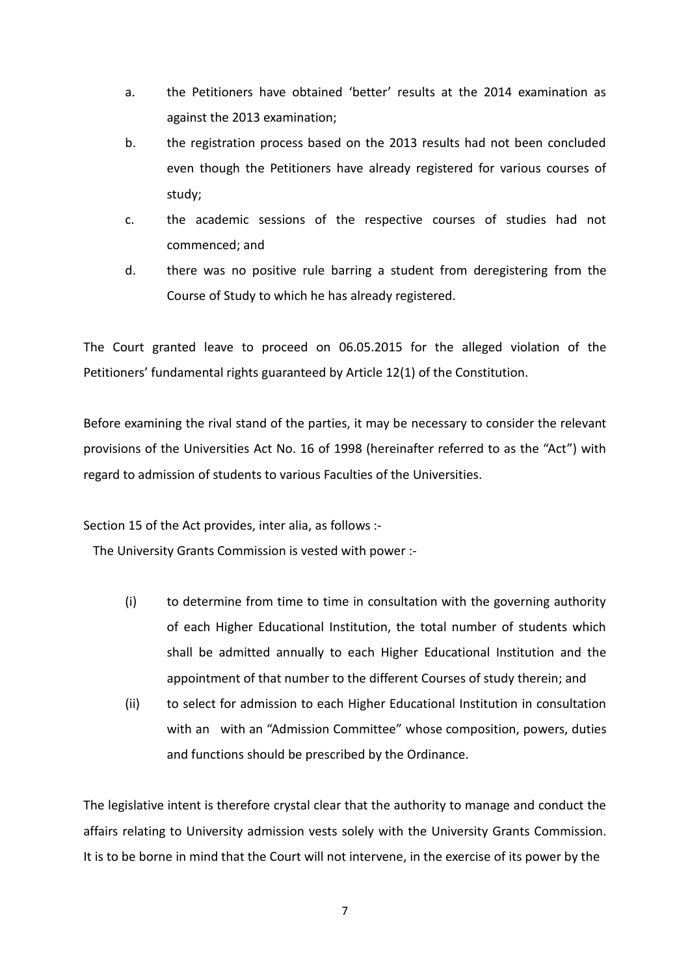- a. the Petitioners have obtained 'better' results at the 2014 examination as against the 2013 examination;
- b. the registration process based on the 2013 results had not been concluded even though the Petitioners have already registered for various courses of study;
- c. the academic sessions of the respective courses of studies had not commenced; and
- d. there was no positive rule barring a student from deregistering from the Course of Study to which he has already registered.

The Court granted leave to proceed on 06.05.2015 for the alleged violation of the Petitioners' fundamental rights guaranteed by Article 12(1) of the Constitution.

Before examining the rival stand of the parties, it may be necessary to consider the relevant provisions of the Universities Act No. 16 of 1998 (hereinafter referred to as the "Act") with regard to admission of students to various Faculties of the Universities.

Section 15 of the Act provides, inter alia, as follows :-

The University Grants Commission is vested with power :-

- (i) to determine from time to time in consultation with the governing authority of each Higher Educational Institution, the total number of students which shall be admitted annually to each Higher Educational Institution and the appointment of that number to the different Courses of study therein; and
- (ii) to select for admission to each Higher Educational Institution in consultation with an with an "Admission Committee" whose composition, powers, duties and functions should be prescribed by the Ordinance.

The legislative intent is therefore crystal clear that the authority to manage and conduct the affairs relating to University admission vests solely with the University Grants Commission. It is to be borne in mind that the Court will not intervene, in the exercise of its power by the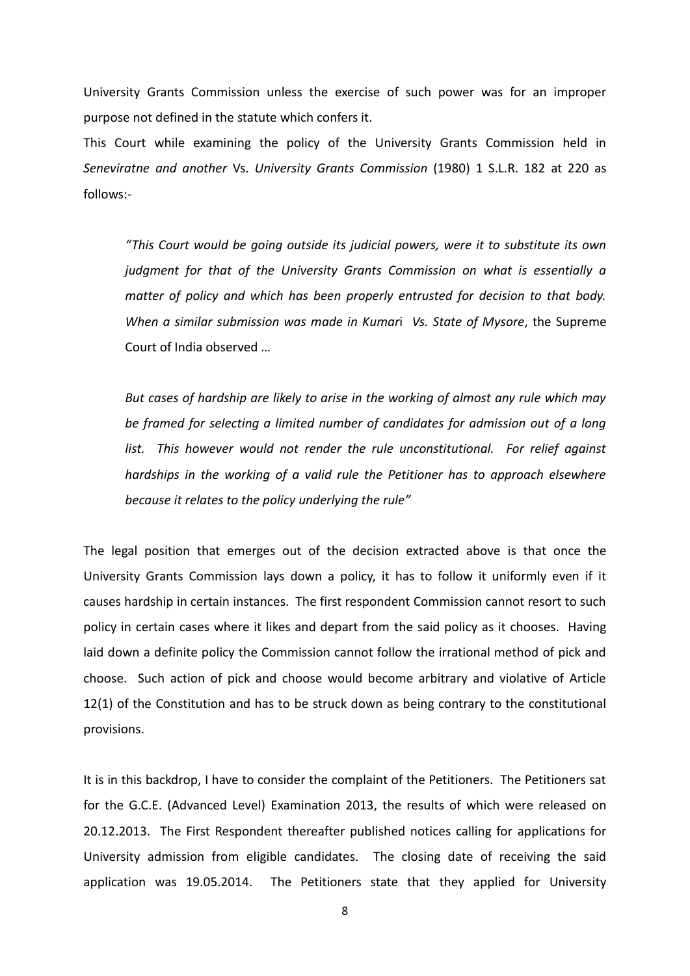University Grants Commission unless the exercise of such power was for an improper purpose not defined in the statute which confers it.

This Court while examining the policy of the University Grants Commission held in *Seneviratne and another* Vs. *University Grants Commission* (1980) 1 S.L.R. 182 at 220 as follows:-

*"This Court would be going outside its judicial powers, were it to substitute its own judgment for that of the University Grants Commission on what is essentially a matter of policy and which has been properly entrusted for decision to that body. When a similar submission was made in Kumar*i *Vs. State of Mysore*, the Supreme Court of India observed …

*But cases of hardship are likely to arise in the working of almost any rule which may be framed for selecting a limited number of candidates for admission out of a long*  list. This however would not render the rule unconstitutional. For relief against *hardships in the working of a valid rule the Petitioner has to approach elsewhere because it relates to the policy underlying the rule"*

The legal position that emerges out of the decision extracted above is that once the University Grants Commission lays down a policy, it has to follow it uniformly even if it causes hardship in certain instances. The first respondent Commission cannot resort to such policy in certain cases where it likes and depart from the said policy as it chooses. Having laid down a definite policy the Commission cannot follow the irrational method of pick and choose. Such action of pick and choose would become arbitrary and violative of Article 12(1) of the Constitution and has to be struck down as being contrary to the constitutional provisions.

It is in this backdrop, I have to consider the complaint of the Petitioners. The Petitioners sat for the G.C.E. (Advanced Level) Examination 2013, the results of which were released on 20.12.2013. The First Respondent thereafter published notices calling for applications for University admission from eligible candidates. The closing date of receiving the said application was 19.05.2014. The Petitioners state that they applied for University

8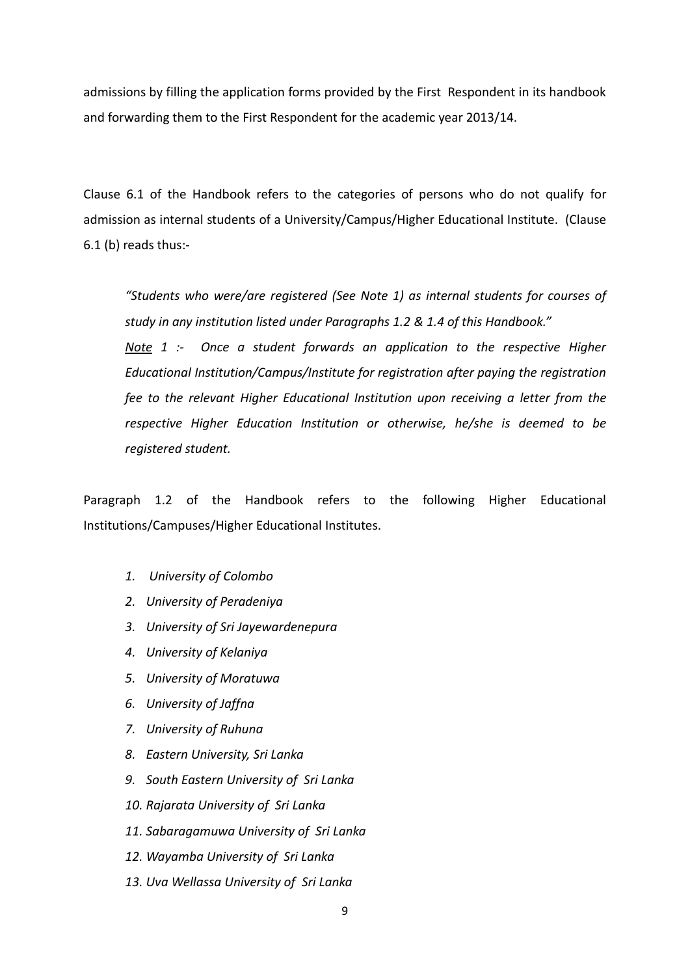admissions by filling the application forms provided by the First Respondent in its handbook and forwarding them to the First Respondent for the academic year 2013/14.

Clause 6.1 of the Handbook refers to the categories of persons who do not qualify for admission as internal students of a University/Campus/Higher Educational Institute. (Clause 6.1 (b) reads thus:-

*"Students who were/are registered (See Note 1) as internal students for courses of study in any institution listed under Paragraphs 1.2 & 1.4 of this Handbook."*

*Note 1 :- Once a student forwards an application to the respective Higher Educational Institution/Campus/Institute for registration after paying the registration fee to the relevant Higher Educational Institution upon receiving a letter from the respective Higher Education Institution or otherwise, he/she is deemed to be registered student.*

Paragraph 1.2 of the Handbook refers to the following Higher Educational Institutions/Campuses/Higher Educational Institutes.

- *1. University of Colombo*
- *2. University of Peradeniya*
- *3. University of Sri Jayewardenepura*
- *4. University of Kelaniya*
- *5. University of Moratuwa*
- *6. University of Jaffna*
- *7. University of Ruhuna*
- *8. Eastern University, Sri Lanka*
- *9. South Eastern University of Sri Lanka*
- *10. Rajarata University of Sri Lanka*
- *11. Sabaragamuwa University of Sri Lanka*
- *12. Wayamba University of Sri Lanka*
- *13. Uva Wellassa University of Sri Lanka*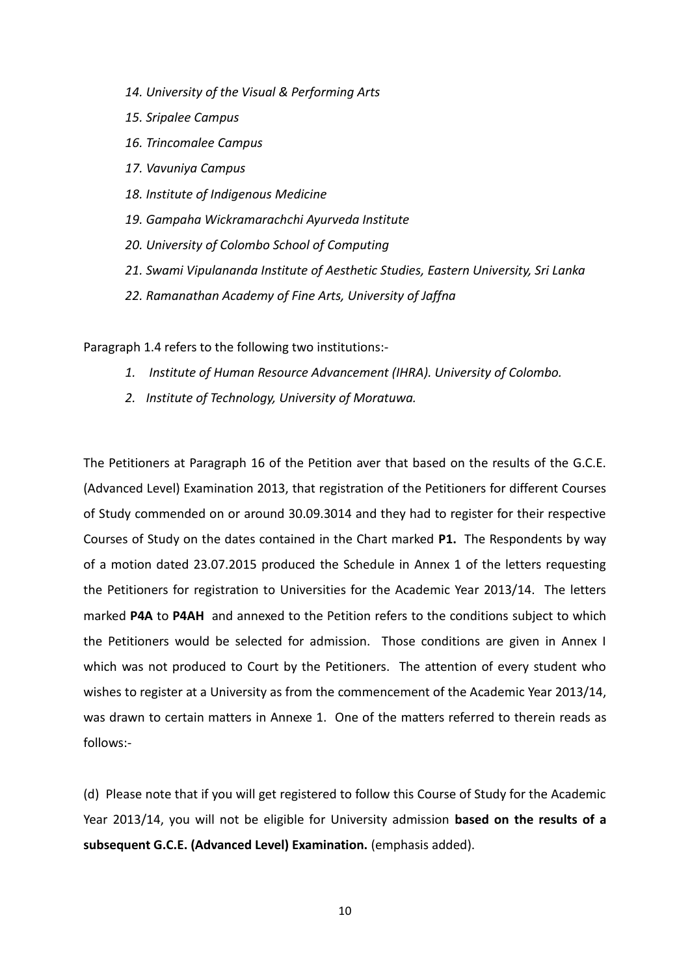- *14. University of the Visual & Performing Arts*
- *15. Sripalee Campus*
- *16. Trincomalee Campus*
- *17. Vavuniya Campus*
- *18. Institute of Indigenous Medicine*
- *19. Gampaha Wickramarachchi Ayurveda Institute*
- *20. University of Colombo School of Computing*
- *21. Swami Vipulananda Institute of Aesthetic Studies, Eastern University, Sri Lanka*
- *22. Ramanathan Academy of Fine Arts, University of Jaffna*

Paragraph 1.4 refers to the following two institutions:-

- *1. Institute of Human Resource Advancement (IHRA). University of Colombo.*
- *2. Institute of Technology, University of Moratuwa.*

The Petitioners at Paragraph 16 of the Petition aver that based on the results of the G.C.E. (Advanced Level) Examination 2013, that registration of the Petitioners for different Courses of Study commended on or around 30.09.3014 and they had to register for their respective Courses of Study on the dates contained in the Chart marked **P1.** The Respondents by way of a motion dated 23.07.2015 produced the Schedule in Annex 1 of the letters requesting the Petitioners for registration to Universities for the Academic Year 2013/14. The letters marked **P4A** to **P4AH** and annexed to the Petition refers to the conditions subject to which the Petitioners would be selected for admission. Those conditions are given in Annex I which was not produced to Court by the Petitioners. The attention of every student who wishes to register at a University as from the commencement of the Academic Year 2013/14, was drawn to certain matters in Annexe 1. One of the matters referred to therein reads as follows:-

(d) Please note that if you will get registered to follow this Course of Study for the Academic Year 2013/14, you will not be eligible for University admission **based on the results of a subsequent G.C.E. (Advanced Level) Examination.** (emphasis added).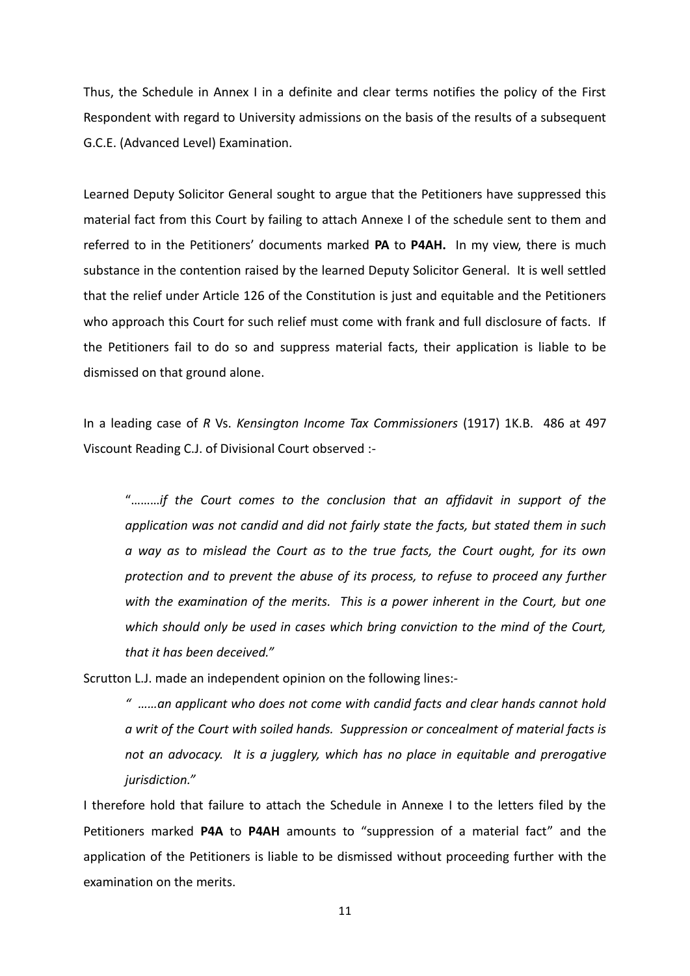Thus, the Schedule in Annex I in a definite and clear terms notifies the policy of the First Respondent with regard to University admissions on the basis of the results of a subsequent G.C.E. (Advanced Level) Examination.

Learned Deputy Solicitor General sought to argue that the Petitioners have suppressed this material fact from this Court by failing to attach Annexe I of the schedule sent to them and referred to in the Petitioners' documents marked **PA** to **P4AH.** In my view, there is much substance in the contention raised by the learned Deputy Solicitor General. It is well settled that the relief under Article 126 of the Constitution is just and equitable and the Petitioners who approach this Court for such relief must come with frank and full disclosure of facts. If the Petitioners fail to do so and suppress material facts, their application is liable to be dismissed on that ground alone.

In a leading case of *R* Vs. *Kensington Income Tax Commissioners* (1917) 1K.B. 486 at 497 Viscount Reading C.J. of Divisional Court observed :-

"………*if the Court comes to the conclusion that an affidavit in support of the application was not candid and did not fairly state the facts, but stated them in such a way as to mislead the Court as to the true facts, the Court ought, for its own protection and to prevent the abuse of its process, to refuse to proceed any further with the examination of the merits. This is a power inherent in the Court, but one which should only be used in cases which bring conviction to the mind of the Court, that it has been deceived."*

Scrutton L.J. made an independent opinion on the following lines:-

*" ……an applicant who does not come with candid facts and clear hands cannot hold a writ of the Court with soiled hands. Suppression or concealment of material facts is not an advocacy. It is a jugglery, which has no place in equitable and prerogative jurisdiction."*

I therefore hold that failure to attach the Schedule in Annexe I to the letters filed by the Petitioners marked **P4A** to **P4AH** amounts to "suppression of a material fact" and the application of the Petitioners is liable to be dismissed without proceeding further with the examination on the merits.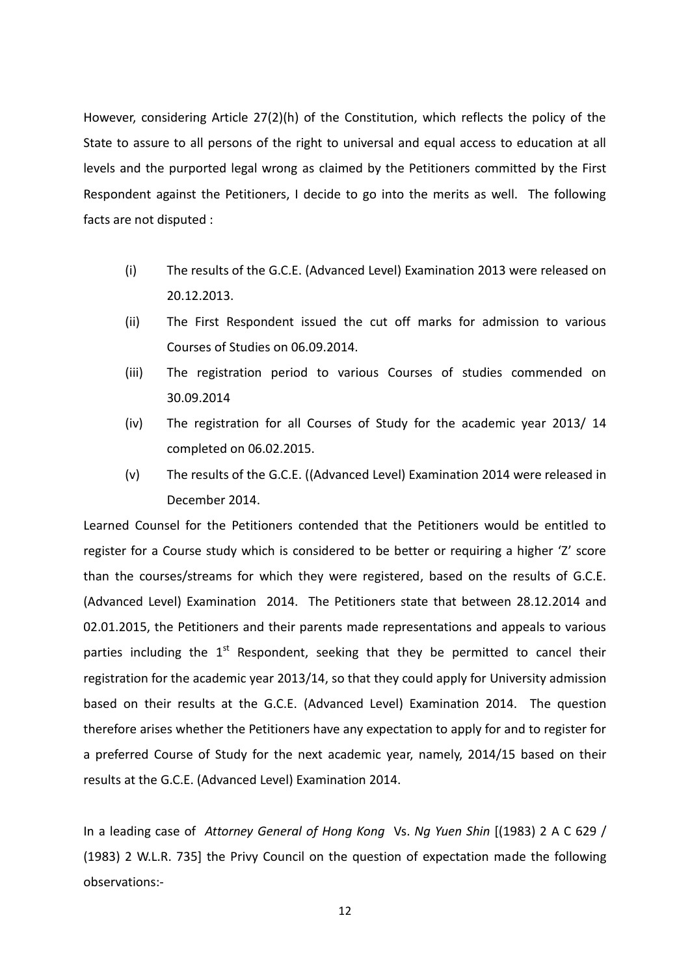However, considering Article 27(2)(h) of the Constitution, which reflects the policy of the State to assure to all persons of the right to universal and equal access to education at all levels and the purported legal wrong as claimed by the Petitioners committed by the First Respondent against the Petitioners, I decide to go into the merits as well. The following facts are not disputed :

- (i) The results of the G.C.E. (Advanced Level) Examination 2013 were released on 20.12.2013.
- (ii) The First Respondent issued the cut off marks for admission to various Courses of Studies on 06.09.2014.
- (iii) The registration period to various Courses of studies commended on 30.09.2014
- (iv) The registration for all Courses of Study for the academic year 2013/ 14 completed on 06.02.2015.
- (v) The results of the G.C.E. ((Advanced Level) Examination 2014 were released in December 2014.

Learned Counsel for the Petitioners contended that the Petitioners would be entitled to register for a Course study which is considered to be better or requiring a higher 'Z' score than the courses/streams for which they were registered, based on the results of G.C.E. (Advanced Level) Examination 2014. The Petitioners state that between 28.12.2014 and 02.01.2015, the Petitioners and their parents made representations and appeals to various parties including the  $1<sup>st</sup>$  Respondent, seeking that they be permitted to cancel their registration for the academic year 2013/14, so that they could apply for University admission based on their results at the G.C.E. (Advanced Level) Examination 2014. The question therefore arises whether the Petitioners have any expectation to apply for and to register for a preferred Course of Study for the next academic year, namely, 2014/15 based on their results at the G.C.E. (Advanced Level) Examination 2014.

In a leading case of *Attorney General of Hong Kong* Vs. *Ng Yuen Shin* [(1983) 2 A C 629 / (1983) 2 W.L.R. 735] the Privy Council on the question of expectation made the following observations:-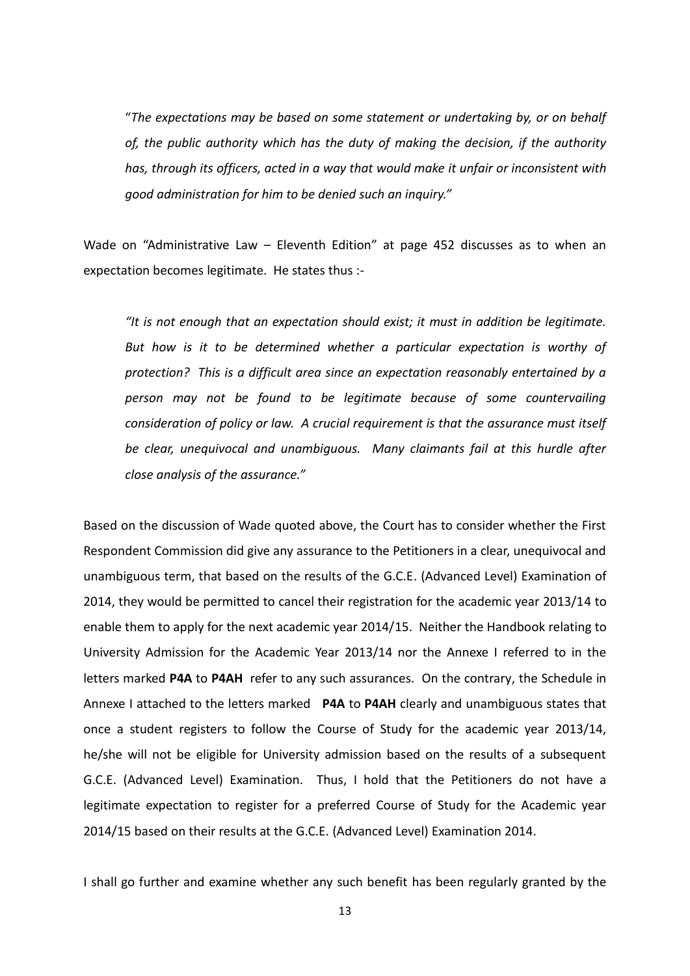"*The expectations may be based on some statement or undertaking by, or on behalf of, the public authority which has the duty of making the decision, if the authority has, through its officers, acted in a way that would make it unfair or inconsistent with good administration for him to be denied such an inquiry."*

Wade on "Administrative Law – Eleventh Edition" at page 452 discusses as to when an expectation becomes legitimate. He states thus :-

*"It is not enough that an expectation should exist; it must in addition be legitimate. But how is it to be determined whether a particular expectation is worthy of protection? This is a difficult area since an expectation reasonably entertained by a person may not be found to be legitimate because of some countervailing consideration of policy or law. A crucial requirement is that the assurance must itself be clear, unequivocal and unambiguous. Many claimants fail at this hurdle after close analysis of the assurance."* 

Based on the discussion of Wade quoted above, the Court has to consider whether the First Respondent Commission did give any assurance to the Petitioners in a clear, unequivocal and unambiguous term, that based on the results of the G.C.E. (Advanced Level) Examination of 2014, they would be permitted to cancel their registration for the academic year 2013/14 to enable them to apply for the next academic year 2014/15. Neither the Handbook relating to University Admission for the Academic Year 2013/14 nor the Annexe I referred to in the letters marked **P4A** to **P4AH** refer to any such assurances. On the contrary, the Schedule in Annexe I attached to the letters marked **P4A** to **P4AH** clearly and unambiguous states that once a student registers to follow the Course of Study for the academic year 2013/14, he/she will not be eligible for University admission based on the results of a subsequent G.C.E. (Advanced Level) Examination. Thus, I hold that the Petitioners do not have a legitimate expectation to register for a preferred Course of Study for the Academic year 2014/15 based on their results at the G.C.E. (Advanced Level) Examination 2014.

I shall go further and examine whether any such benefit has been regularly granted by the

13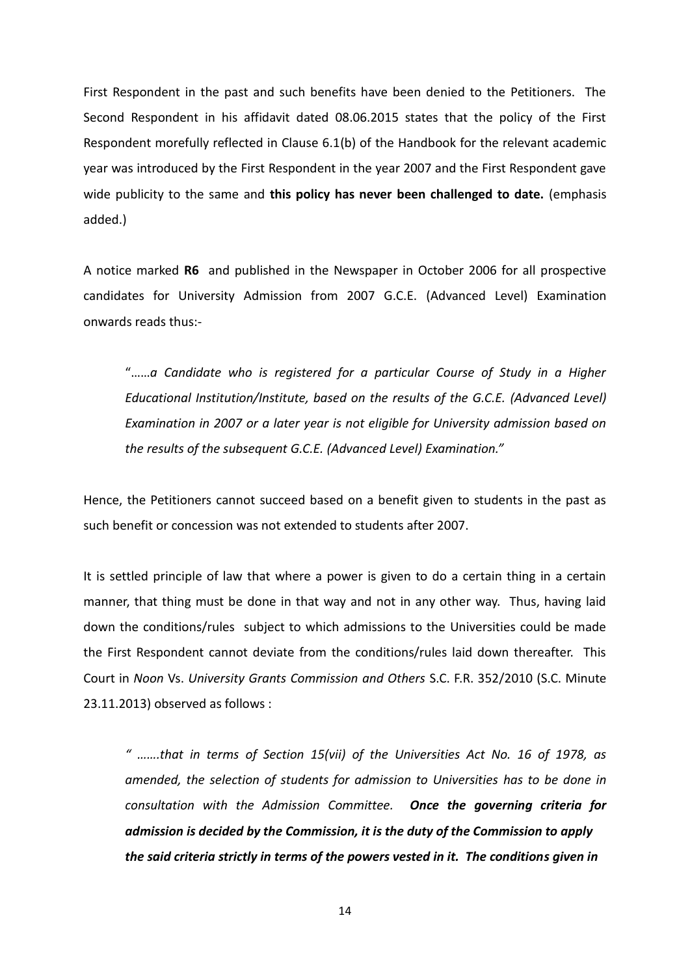First Respondent in the past and such benefits have been denied to the Petitioners. The Second Respondent in his affidavit dated 08.06.2015 states that the policy of the First Respondent morefully reflected in Clause 6.1(b) of the Handbook for the relevant academic year was introduced by the First Respondent in the year 2007 and the First Respondent gave wide publicity to the same and **this policy has never been challenged to date.** (emphasis added.)

A notice marked **R6** and published in the Newspaper in October 2006 for all prospective candidates for University Admission from 2007 G.C.E. (Advanced Level) Examination onwards reads thus:-

"……*a Candidate who is registered for a particular Course of Study in a Higher Educational Institution/Institute, based on the results of the G.C.E. (Advanced Level) Examination in 2007 or a later year is not eligible for University admission based on the results of the subsequent G.C.E. (Advanced Level) Examination."*

Hence, the Petitioners cannot succeed based on a benefit given to students in the past as such benefit or concession was not extended to students after 2007.

It is settled principle of law that where a power is given to do a certain thing in a certain manner, that thing must be done in that way and not in any other way. Thus, having laid down the conditions/rules subject to which admissions to the Universities could be made the First Respondent cannot deviate from the conditions/rules laid down thereafter. This Court in *Noon* Vs. *University Grants Commission and Others* S.C. F.R. 352/2010 (S.C. Minute 23.11.2013) observed as follows :

*" …….that in terms of Section 15(vii) of the Universities Act No. 16 of 1978, as amended, the selection of students for admission to Universities has to be done in consultation with the Admission Committee. Once the governing criteria for admission is decided by the Commission, it is the duty of the Commission to apply the said criteria strictly in terms of the powers vested in it. The conditions given in* 

14